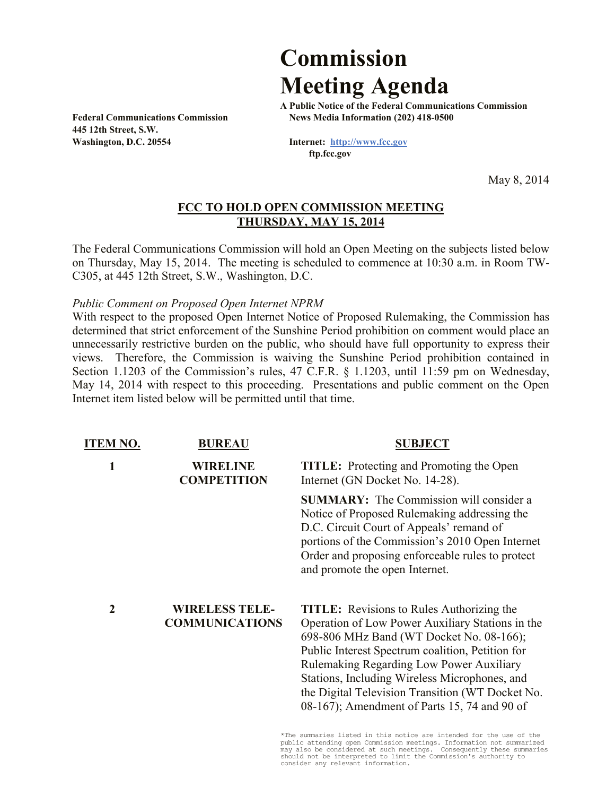## **Commission Meeting Agenda**

**445 12th Street, S.W. Washington, D.C. 20554 Internet: http://www.fcc.gov**

**A Public Notice of the Federal Communications Commission Federal Communications Commission News Media Information (202) 418-0500**

 **ftp.fcc.gov**

May 8, 2014

## **FCC TO HOLD OPEN COMMISSION MEETING THURSDAY, MAY 15, 2014**

The Federal Communications Commission will hold an Open Meeting on the subjects listed below on Thursday, May 15, 2014. The meeting is scheduled to commence at 10:30 a.m. in Room TW-C305, at 445 12th Street, S.W., Washington, D.C.

*Public Comment on Proposed Open Internet NPRM*

With respect to the proposed Open Internet Notice of Proposed Rulemaking, the Commission has determined that strict enforcement of the Sunshine Period prohibition on comment would place an unnecessarily restrictive burden on the public, who should have full opportunity to express their views. Therefore, the Commission is waiving the Sunshine Period prohibition contained in Section 1.1203 of the Commission's rules, 47 C.F.R. § 1.1203, until 11:59 pm on Wednesday, May 14, 2014 with respect to this proceeding. Presentations and public comment on the Open Internet item listed below will be permitted until that time.

| <b>ITEM NO.</b> | <b>BUREAU</b>                                  | <b>SUBJECT</b>                                                                                                                                                                                                                                                                                                                                                                                        |
|-----------------|------------------------------------------------|-------------------------------------------------------------------------------------------------------------------------------------------------------------------------------------------------------------------------------------------------------------------------------------------------------------------------------------------------------------------------------------------------------|
| 1               | <b>WIRELINE</b><br><b>COMPETITION</b>          | <b>TITLE:</b> Protecting and Promoting the Open<br>Internet (GN Docket No. 14-28).                                                                                                                                                                                                                                                                                                                    |
|                 |                                                | <b>SUMMARY:</b> The Commission will consider a<br>Notice of Proposed Rulemaking addressing the<br>D.C. Circuit Court of Appeals' remand of<br>portions of the Commission's 2010 Open Internet<br>Order and proposing enforceable rules to protect<br>and promote the open Internet.                                                                                                                   |
| 2               | <b>WIRELESS TELE-</b><br><b>COMMUNICATIONS</b> | <b>TITLE:</b> Revisions to Rules Authorizing the<br>Operation of Low Power Auxiliary Stations in the<br>698-806 MHz Band (WT Docket No. 08-166);<br>Public Interest Spectrum coalition, Petition for<br>Rulemaking Regarding Low Power Auxiliary<br>Stations, Including Wireless Microphones, and<br>the Digital Television Transition (WT Docket No.<br>08-167); Amendment of Parts 15, 74 and 90 of |

\*The summaries listed in this notice are intended for the use of the public attending open Commission meetings. Information not summarized may also be considered at such meetings. Consequently these summaries should not be interpreted to limit the Commission's authority to consider any relevant information.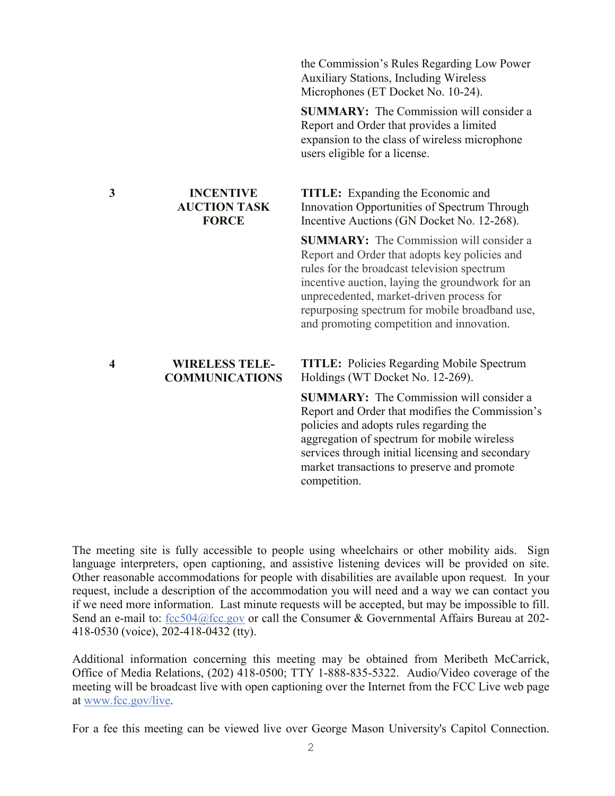|   |                                                         | <b>Auxiliary Stations, Including Wireless</b><br>Microphones (ET Docket No. 10-24).                                                                                                                                                                                                                                                          |
|---|---------------------------------------------------------|----------------------------------------------------------------------------------------------------------------------------------------------------------------------------------------------------------------------------------------------------------------------------------------------------------------------------------------------|
|   |                                                         | <b>SUMMARY:</b> The Commission will consider a<br>Report and Order that provides a limited<br>expansion to the class of wireless microphone<br>users eligible for a license.                                                                                                                                                                 |
| 3 | <b>INCENTIVE</b><br><b>AUCTION TASK</b><br><b>FORCE</b> | <b>TITLE:</b> Expanding the Economic and<br>Innovation Opportunities of Spectrum Through<br>Incentive Auctions (GN Docket No. 12-268).                                                                                                                                                                                                       |
|   |                                                         | <b>SUMMARY:</b> The Commission will consider a<br>Report and Order that adopts key policies and<br>rules for the broadcast television spectrum<br>incentive auction, laying the groundwork for an<br>unprecedented, market-driven process for<br>repurposing spectrum for mobile broadband use,<br>and promoting competition and innovation. |
| 4 | <b>WIRELESS TELE-</b><br><b>COMMUNICATIONS</b>          | <b>TITLE:</b> Policies Regarding Mobile Spectrum<br>Holdings (WT Docket No. 12-269).                                                                                                                                                                                                                                                         |
|   |                                                         | <b>SUMMARY:</b> The Commission will consider a<br>Report and Order that modifies the Commission's<br>policies and adopts rules regarding the<br>aggregation of spectrum for mobile wireless<br>services through initial licensing and secondary<br>market transactions to preserve and promote<br>competition.                               |
|   |                                                         |                                                                                                                                                                                                                                                                                                                                              |

the Commission's Rules Regarding Low Power

The meeting site is fully accessible to people using wheelchairs or other mobility aids. Sign language interpreters, open captioning, and assistive listening devices will be provided on site. Other reasonable accommodations for people with disabilities are available upon request. In your request, include a description of the accommodation you will need and a way we can contact you if we need more information. Last minute requests will be accepted, but may be impossible to fill. Send an e-mail to: fcc504@fcc.gov or call the Consumer & Governmental Affairs Bureau at 202-418-0530 (voice), 202-418-0432 (tty).

Additional information concerning this meeting may be obtained from Meribeth McCarrick, Office of Media Relations, (202) 418-0500; TTY 1-888-835-5322. Audio/Video coverage of the meeting will be broadcast live with open captioning over the Internet from the FCC Live web page at www.fcc.gov/live.

2 For a fee this meeting can be viewed live over George Mason University's Capitol Connection.